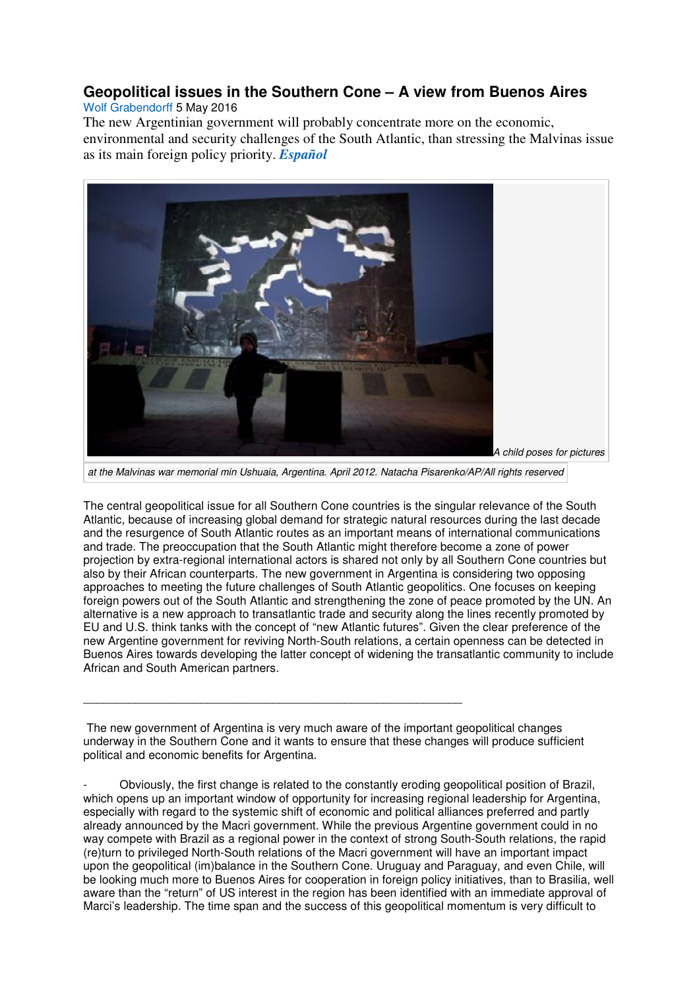## **Geopolitical issues in the Southern Cone – A view from Buenos Aires**

## Wolf Grabendorff 5 May 2016

The new Argentinian government will probably concentrate more on the economic, environmental and security challenges of the South Atlantic, than stressing the Malvinas issue as its main foreign policy priority. *Español*



at the Malvinas war memorial min Ushuaia, Argentina. April 2012. Natacha Pisarenko/AP/All rights reserved

The central geopolitical issue for all Southern Cone countries is the singular relevance of the South Atlantic, because of increasing global demand for strategic natural resources during the last decade and the resurgence of South Atlantic routes as an important means of international communications and trade. The preoccupation that the South Atlantic might therefore become a zone of power projection by extra-regional international actors is shared not only by all Southern Cone countries but also by their African counterparts. The new government in Argentina is considering two opposing approaches to meeting the future challenges of South Atlantic geopolitics. One focuses on keeping foreign powers out of the South Atlantic and strengthening the zone of peace promoted by the UN. An alternative is a new approach to transatlantic trade and security along the lines recently promoted by EU and U.S. think tanks with the concept of "new Atlantic futures". Given the clear preference of the new Argentine government for reviving North-South relations, a certain openness can be detected in Buenos Aires towards developing the latter concept of widening the transatlantic community to include African and South American partners.

The new government of Argentina is very much aware of the important geopolitical changes underway in the Southern Cone and it wants to ensure that these changes will produce sufficient political and economic benefits for Argentina.

\_\_\_\_\_\_\_\_\_\_\_\_\_\_\_\_\_\_\_\_\_\_\_\_\_\_\_\_\_\_\_\_\_\_\_\_\_\_\_\_\_\_\_\_\_\_\_\_\_\_\_\_\_\_\_\_\_\_

- Obviously, the first change is related to the constantly eroding geopolitical position of Brazil, which opens up an important window of opportunity for increasing regional leadership for Argentina, especially with regard to the systemic shift of economic and political alliances preferred and partly already announced by the Macri government. While the previous Argentine government could in no way compete with Brazil as a regional power in the context of strong South-South relations, the rapid (re)turn to privileged North-South relations of the Macri government will have an important impact upon the geopolitical (im)balance in the Southern Cone. Uruguay and Paraguay, and even Chile, will be looking much more to Buenos Aires for cooperation in foreign policy initiatives, than to Brasilia, well aware than the "return" of US interest in the region has been identified with an immediate approval of Marci's leadership. The time span and the success of this geopolitical momentum is very difficult to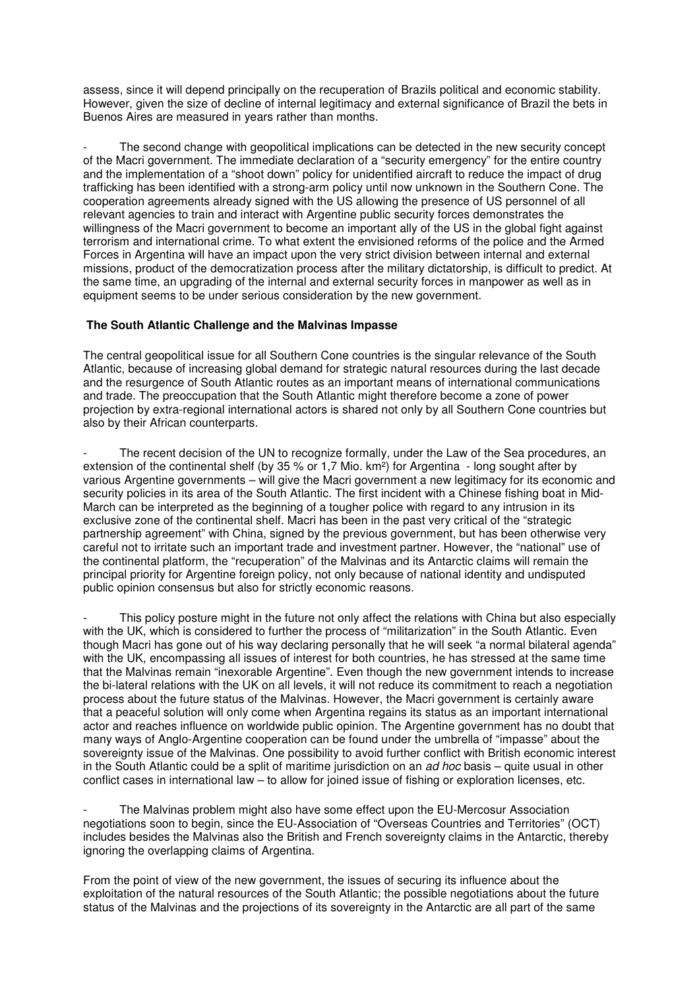assess, since it will depend principally on the recuperation of Brazils political and economic stability. However, given the size of decline of internal legitimacy and external significance of Brazil the bets in Buenos Aires are measured in years rather than months.

The second change with geopolitical implications can be detected in the new security concept of the Macri government. The immediate declaration of a "security emergency" for the entire country and the implementation of a "shoot down" policy for unidentified aircraft to reduce the impact of drug trafficking has been identified with a strong-arm policy until now unknown in the Southern Cone. The cooperation agreements already signed with the US allowing the presence of US personnel of all relevant agencies to train and interact with Argentine public security forces demonstrates the willingness of the Macri government to become an important ally of the US in the global fight against terrorism and international crime. To what extent the envisioned reforms of the police and the Armed Forces in Argentina will have an impact upon the very strict division between internal and external missions, product of the democratization process after the military dictatorship, is difficult to predict. At the same time, an upgrading of the internal and external security forces in manpower as well as in equipment seems to be under serious consideration by the new government.

## **The South Atlantic Challenge and the Malvinas Impasse**

The central geopolitical issue for all Southern Cone countries is the singular relevance of the South Atlantic, because of increasing global demand for strategic natural resources during the last decade and the resurgence of South Atlantic routes as an important means of international communications and trade. The preoccupation that the South Atlantic might therefore become a zone of power projection by extra-regional international actors is shared not only by all Southern Cone countries but also by their African counterparts.

The recent decision of the UN to recognize formally, under the Law of the Sea procedures, an extension of the continental shelf (by 35 % or 1,7 Mio. km²) for Argentina - long sought after by various Argentine governments – will give the Macri government a new legitimacy for its economic and security policies in its area of the South Atlantic. The first incident with a Chinese fishing boat in Mid-March can be interpreted as the beginning of a tougher police with regard to any intrusion in its exclusive zone of the continental shelf. Macri has been in the past very critical of the "strategic partnership agreement" with China, signed by the previous government, but has been otherwise very careful not to irritate such an important trade and investment partner. However, the "national" use of the continental platform, the "recuperation" of the Malvinas and its Antarctic claims will remain the principal priority for Argentine foreign policy, not only because of national identity and undisputed public opinion consensus but also for strictly economic reasons.

This policy posture might in the future not only affect the relations with China but also especially with the UK, which is considered to further the process of "militarization" in the South Atlantic. Even though Macri has gone out of his way declaring personally that he will seek "a normal bilateral agenda" with the UK, encompassing all issues of interest for both countries, he has stressed at the same time that the Malvinas remain "inexorable Argentine". Even though the new government intends to increase the bi-lateral relations with the UK on all levels, it will not reduce its commitment to reach a negotiation process about the future status of the Malvinas. However, the Macri government is certainly aware that a peaceful solution will only come when Argentina regains its status as an important international actor and reaches influence on worldwide public opinion. The Argentine government has no doubt that many ways of Anglo-Argentine cooperation can be found under the umbrella of "impasse" about the sovereignty issue of the Malvinas. One possibility to avoid further conflict with British economic interest in the South Atlantic could be a split of maritime jurisdiction on an ad hoc basis – quite usual in other conflict cases in international law – to allow for joined issue of fishing or exploration licenses, etc.

The Malvinas problem might also have some effect upon the EU-Mercosur Association negotiations soon to begin, since the EU-Association of "Overseas Countries and Territories" (OCT) includes besides the Malvinas also the British and French sovereignty claims in the Antarctic, thereby ignoring the overlapping claims of Argentina.

From the point of view of the new government, the issues of securing its influence about the exploitation of the natural resources of the South Atlantic; the possible negotiations about the future status of the Malvinas and the projections of its sovereignty in the Antarctic are all part of the same